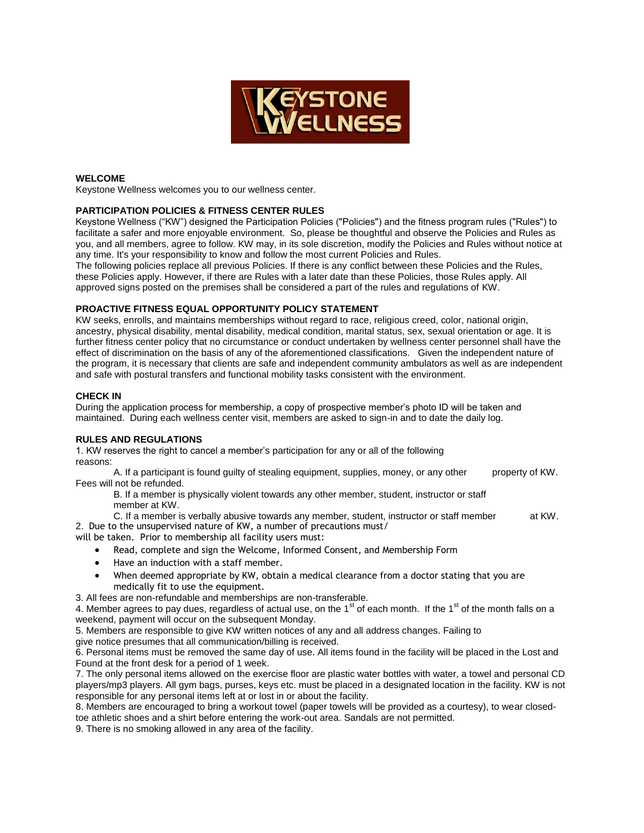

#### **WELCOME**

Keystone Wellness welcomes you to our wellness center.

## **PARTICIPATION POLICIES & FITNESS CENTER RULES**

Keystone Wellness ("KW") designed the Participation Policies ("Policies") and the fitness program rules ("Rules") to facilitate a safer and more enjoyable environment. So, please be thoughtful and observe the Policies and Rules as you, and all members, agree to follow. KW may, in its sole discretion, modify the Policies and Rules without notice at any time. It's your responsibility to know and follow the most current Policies and Rules.

The following policies replace all previous Policies. If there is any conflict between these Policies and the Rules, these Policies apply. However, if there are Rules with a later date than these Policies, those Rules apply. All approved signs posted on the premises shall be considered a part of the rules and regulations of KW.

# **PROACTIVE FITNESS EQUAL OPPORTUNITY POLICY STATEMENT**

KW seeks, enrolls, and maintains memberships without regard to race, religious creed, color, national origin, ancestry, physical disability, mental disability, medical condition, marital status, sex, sexual orientation or age. It is further fitness center policy that no circumstance or conduct undertaken by wellness center personnel shall have the effect of discrimination on the basis of any of the aforementioned classifications. Given the independent nature of the program, it is necessary that clients are safe and independent community ambulators as well as are independent and safe with postural transfers and functional mobility tasks consistent with the environment.

### **CHECK IN**

During the application process for membership, a copy of prospective member's photo ID will be taken and maintained. During each wellness center visit, members are asked to sign-in and to date the daily log.

## **RULES AND REGULATIONS**

1. KW reserves the right to cancel a member's participation for any or all of the following reasons:

A. If a participant is found quilty of stealing equipment, supplies, money, or any other property of KW. Fees will not be refunded.

B. If a member is physically violent towards any other member, student, instructor or staff member at KW.

C. If a member is verbally abusive towards any member, student, instructor or staff member at KW. 2. Due to the unsupervised nature of KW, a number of precautions must/

will be taken. Prior to membership all facility users must:

- Read, complete and sign the Welcome, Informed Consent, and Membership Form
- Have an induction with a staff member.
- When deemed appropriate by KW, obtain a medical clearance from a doctor stating that you are medically fit to use the equipment.
- 3. All fees are non-refundable and memberships are non-transferable.

4. Member agrees to pay dues, regardless of actual use, on the  $1<sup>st</sup>$  of each month. If the  $1<sup>st</sup>$  of the month falls on a weekend, payment will occur on the subsequent Monday.

5. Members are responsible to give KW written notices of any and all address changes. Failing to

give notice presumes that all communication/billing is received.

6. Personal items must be removed the same day of use. All items found in the facility will be placed in the Lost and Found at the front desk for a period of 1 week.

7. The only personal items allowed on the exercise floor are plastic water bottles with water, a towel and personal CD players/mp3 players. All gym bags, purses, keys etc. must be placed in a designated location in the facility. KW is not responsible for any personal items left at or lost in or about the facility.

8. Members are encouraged to bring a workout towel (paper towels will be provided as a courtesy), to wear closedtoe athletic shoes and a shirt before entering the work-out area. Sandals are not permitted.

9. There is no smoking allowed in any area of the facility.